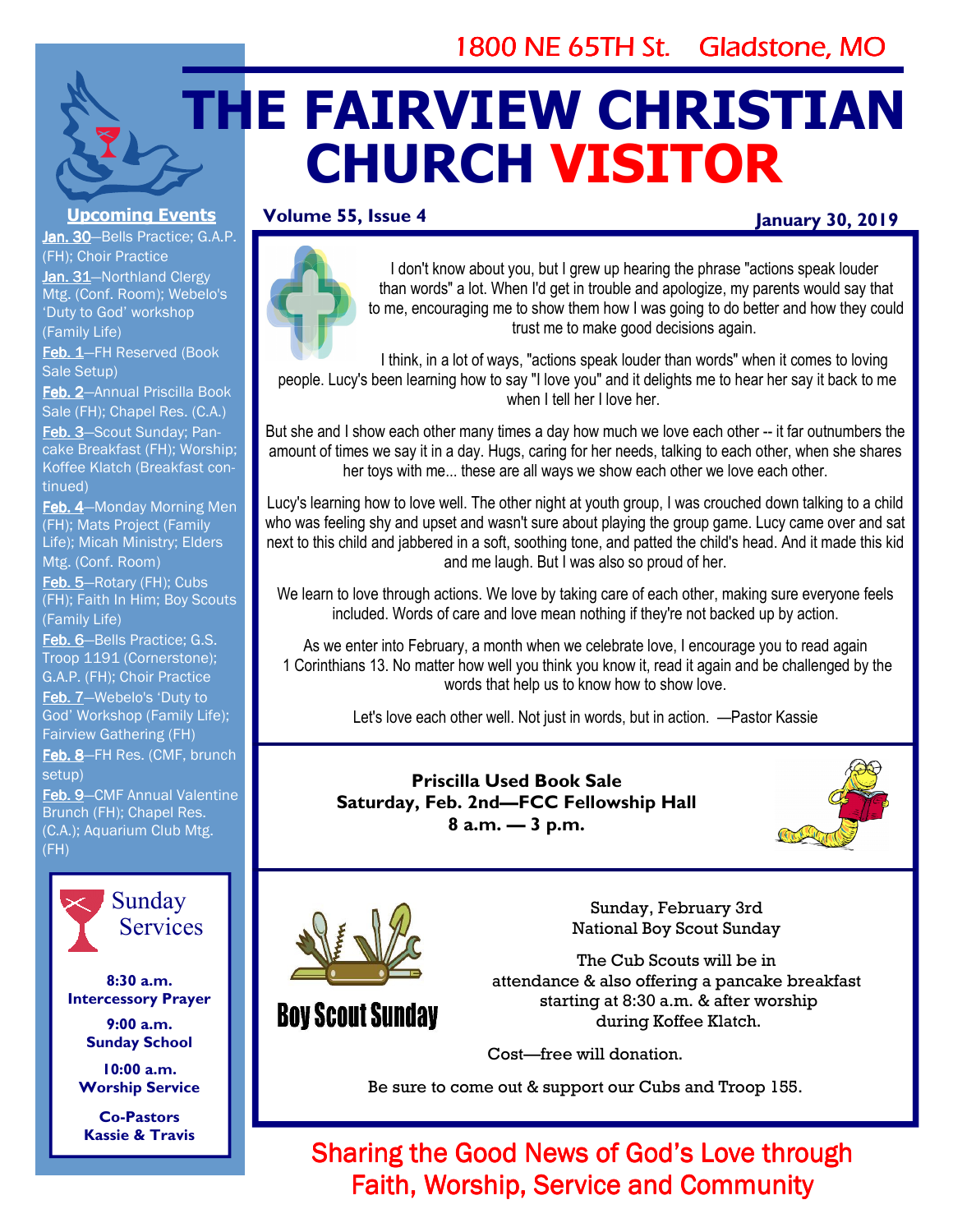# 1800 NE 65TH St. Gladstone, MO

# **THE FAIRVIEW CHRISTIAN CHURCH VISITOR**

# **Volume 55, Issue 4**

# **January 30, 2019**



I don't know about you, but I grew up hearing the phrase "actions speak louder than words" a lot. When I'd get in trouble and apologize, my parents would say that to me, encouraging me to show them how I was going to do better and how they could trust me to make good decisions again.

I think, in a lot of ways, "actions speak louder than words" when it comes to loving people. Lucy's been learning how to say "I love you" and it delights me to hear her say it back to me when I tell her I love her

But she and I show each other many times a day how much we love each other -- it far outnumbers the amount of times we say it in a day. Hugs, caring for her needs, talking to each other, when she shares her toys with me... these are all ways we show each other we love each other.

Lucy's learning how to love well. The other night at youth group, I was crouched down talking to a child who was feeling shy and upset and wasn't sure about playing the group game. Lucy came over and sat next to this child and jabbered in a soft, soothing tone, and patted the child's head. And it made this kid and me laugh. But I was also so proud of her.

We learn to love through actions. We love by taking care of each other, making sure everyone feels included. Words of care and love mean nothing if they're not backed up by action.

As we enter into February, a month when we celebrate love, I encourage you to read again 1 Corinthians 13. No matter how well you think you know it, read it again and be challenged by the words that help us to know how to show love.

Let's love each other well. Not just in words, but in action. —Pastor Kassie

**Priscilla Used Book Sale Saturday, Feb. 2nd—FCC Fellowship Hall 8 a.m. — 3 p.m.** 





**Boy Scout Sunday** 

Sunday, February 3rd National Boy Scout Sunday

The Cub Scouts will be in attendance & also offering a pancake breakfast starting at 8:30 a.m. & after worship during Koffee Klatch.

Cost—free will donation.

Be sure to come out & support our Cubs and Troop 155.

Sharing the Good News of God's Love through Faith, Worship, Service and Community

# **Upcoming Events**

Jan. 30-Bells Practice; G.A.P. (FH); Choir Practice

Jan. 31-Northland Clergy Mtg. (Conf. Room); Webelo's 'Duty to God' workshop (Family Life)

Feb. 1-FH Reserved (Book Sale Setup)

Feb. 2-Annual Priscilla Book Sale (FH); Chapel Res. (C.A.)

Feb. 3-Scout Sunday; Pancake Breakfast (FH); Worship; Koffee Klatch (Breakfast continued)

Feb. 4-Monday Morning Men (FH); Mats Project (Family Life); Micah Ministry; Elders Mtg. (Conf. Room)

Feb. 5-Rotary (FH); Cubs (FH); Faith In Him; Boy Scouts (Family Life)

Feb. 6-Bells Practice; G.S. Troop 1191 (Cornerstone); G.A.P. (FH); Choir Practice Feb. 7-Webelo's 'Duty to God' Workshop (Family Life); Fairview Gathering (FH)

Feb. 8-FH Res. (CMF, brunch setup)

Feb. 9-CMF Annual Valentine Brunch (FH); Chapel Res. (C.A.); Aquarium Club Mtg. (FH)



**8:30 a.m. Intercessory Prayer** 

**9:00 a.m. Sunday School** 

**10:00 a.m. Worship Service** 

**Co-Pastors Kassie & Travis**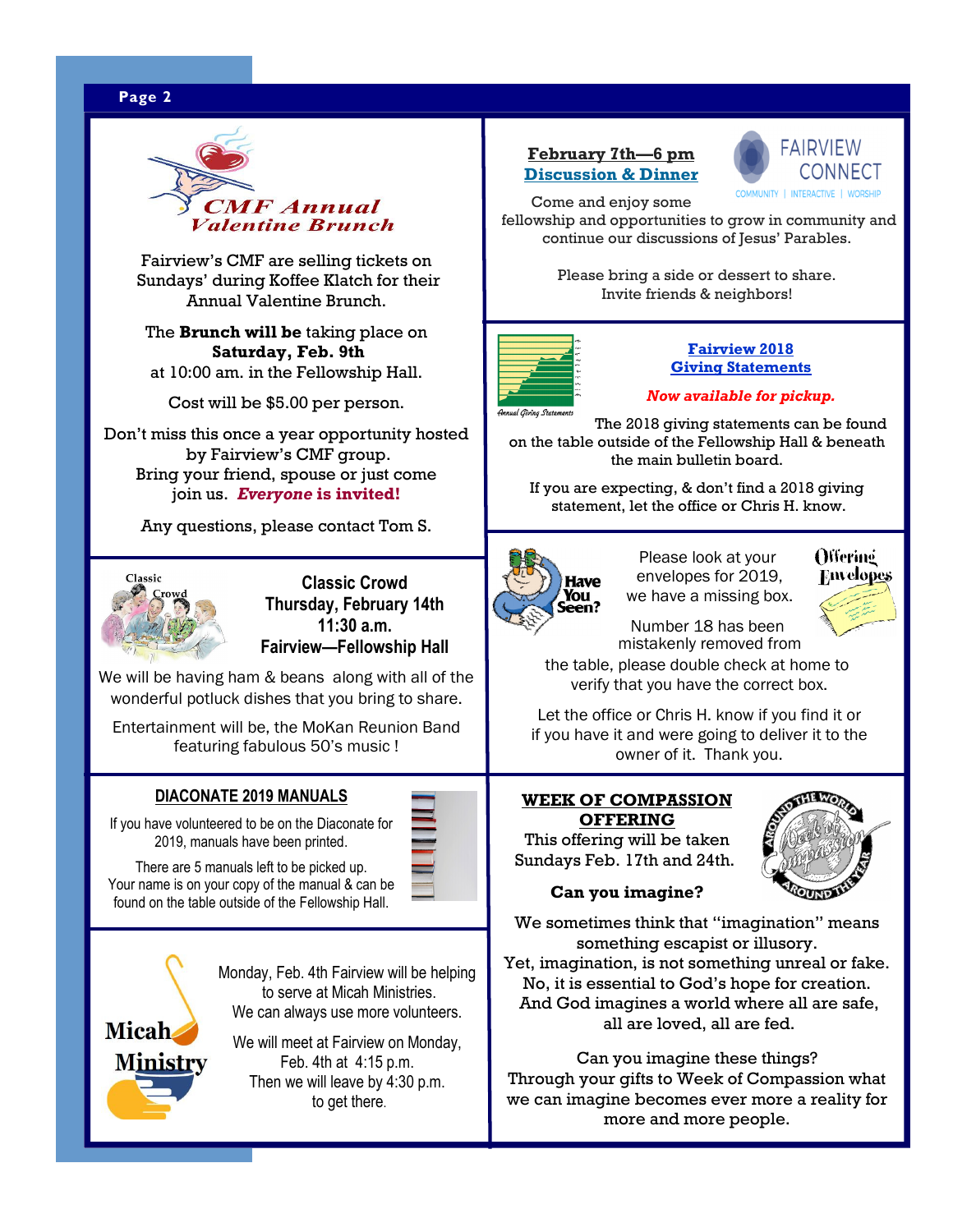# **Page 2** WWW. **Page 2** WWW. **Page 2** WWW. **Page 2** WWW. **Page 2** WWW. **Page 2** WWW. **Page 2**



Fairview's CMF are selling tickets on Sundays' during Koffee Klatch for their Annual Valentine Brunch.

The **Brunch will be** taking place on **Saturday, Feb. 9th** at 10:00 am. in the Fellowship Hall.

Cost will be \$5.00 per person.

Don't miss this once a year opportunity hosted by Fairview's CMF group. Bring your friend, spouse or just come join us. *Everyone* **is invited!** 

Any questions, please contact Tom S.



**Classic Crowd Thursday, February 14th 11:30 a.m. Fairview—Fellowship Hall** 

We will be having ham & beans along with all of the wonderful potluck dishes that you bring to share.

Entertainment will be, the MoKan Reunion Band featuring fabulous 50's music !

#### **DIACONATE 2019 MANUALS**

If you have volunteered to be on the Diaconate for 2019, manuals have been printed.



There are 5 manuals left to be picked up. Your name is on your copy of the manual & can be found on the table outside of the Fellowship Hall.

> Monday, Feb. 4th Fairview will be helping to serve at Micah Ministries. We can always use more volunteers.

We will meet at Fairview on Monday, Feb. 4th at 4:15 p.m. Then we will leave by 4:30 p.m. to get there.

#### **February 7th—6 pm Discussion & Dinner**



Come and enjoy some

 fellowship and opportunities to grow in community and continue our discussions of Jesus' Parables.

> Please bring a side or dessert to share. Invite friends & neighbors!



#### **Fairview 2018 Giving Statements**

#### *Now available for pickup.*

 The 2018 giving statements can be found on the table outside of the Fellowship Hall & beneath the main bulletin board.

If you are expecting, & don't find a 2018 giving statement, let the office or Chris H. know.



Please look at your envelopes for 2019, we have a missing box.



Number 18 has been mistakenly removed from

the table, please double check at home to verify that you have the correct box.

 Let the office or Chris H. know if you find it or if you have it and were going to deliver it to the owner of it. Thank you.

#### **WEEK OF COMPASSION OFFERING**

This offering will be taken Sundays Feb. 17th and 24th.



#### **Can you imagine?**

We sometimes think that "imagination" means something escapist or illusory. Yet, imagination, is not something unreal or fake. No, it is essential to God's hope for creation. And God imagines a world where all are safe,

all are loved, all are fed.

Can you imagine these things? Through your gifts to Week of Compassion what we can imagine becomes ever more a reality for more and more people.